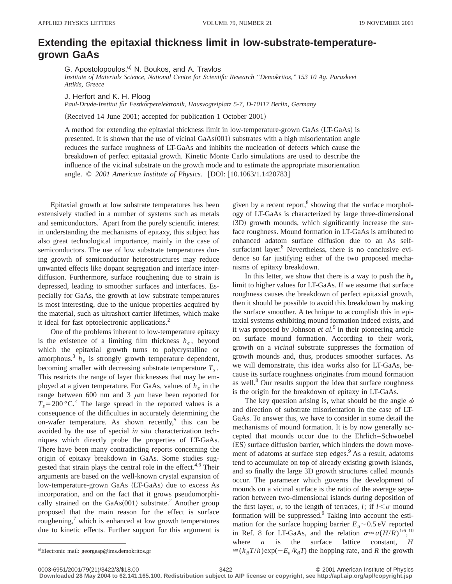## **Extending the epitaxial thickness limit in low-substrate-temperaturegrown GaAs**

G. Apostolopoulos,<sup>a)</sup> N. Boukos, and A. Travlos

*Institute of Materials Science, National Centre for Scientific Research ''Demokritos,'' 153 10 Ag. Paraskevi Attikis, Greece*

J. Herfort and K. H. Ploog

*Paul-Drude-Institut fu¨r Festko¨rperelektronik, Hausvogteiplatz 5-7, D-10117 Berlin, Germany*

(Received 14 June 2001; accepted for publication 1 October 2001)

A method for extending the epitaxial thickness limit in low-temperature-grown GaAs (LT-GaAs) is presented. It is shown that the use of vicinal  $GaAs(001)$  substrates with a high misorientation angle reduces the surface roughness of LT-GaAs and inhibits the nucleation of defects which cause the breakdown of perfect epitaxial growth. Kinetic Monte Carlo simulations are used to describe the influence of the vicinal substrate on the growth mode and to estimate the appropriate misorientation angle. © 2001 American Institute of Physics. [DOI: [10.1063/1.1420783]

Epitaxial growth at low substrate temperatures has been extensively studied in a number of systems such as metals and semiconductors.<sup>1</sup> Apart from the purely scientific interest in understanding the mechanisms of epitaxy, this subject has also great technological importance, mainly in the case of semiconductors. The use of low substrate temperatures during growth of semiconductor heterostructures may reduce unwanted effects like dopant segregation and interface interdiffusion. Furthermore, surface roughening due to strain is depressed, leading to smoother surfaces and interfaces. Especially for GaAs, the growth at low substrate temperatures is most interesting, due to the unique properties acquired by the material, such as ultrashort carrier lifetimes, which make it ideal for fast optoelectronic applications.<sup>2</sup>

One of the problems inherent to low-temperature epitaxy is the existence of a limiting film thickness  $h_e$ , beyond which the epitaxial growth turns to polycrystalline or amorphous.3 *he* is strongly growth temperature dependent, becoming smaller with decreasing substrate temperature  $T_s$ . This restricts the range of layer thicknesses that may be employed at a given temperature. For GaAs, values of *he* in the range between 600 nm and 3  $\mu$ m have been reported for  $T_s = 200 \degree C$ .<sup>4</sup> The large spread in the reported values is a consequence of the difficulties in accurately determining the on-wafer temperature. As shown recently,<sup>5</sup> this can be avoided by the use of special *in situ* characterization techniques which directly probe the properties of LT-GaAs. There have been many contradicting reports concerning the origin of epitaxy breakdown in GaAs. Some studies suggested that strain plays the central role in the effect.<sup>4,6</sup> Their arguments are based on the well-known crystal expansion of low-temperature-grown GaAs (LT-GaAs) due to excess As incorporation, and on the fact that it grows pseudomorphically strained on the  $GaAs(001)$  substrate.<sup>2</sup> Another group proposed that the main reason for the effect is surface roughening, $\frac{7}{1}$  which is enhanced at low growth temperatures due to kinetic effects. Further support for this argument is

given by a recent report, $8$  showing that the surface morphology of LT-GaAs is characterized by large three-dimensional (3D) growth mounds, which significantly increase the surface roughness. Mound formation in LT-GaAs is attributed to enhanced adatom surface diffusion due to an As selfsurfactant layer.<sup>8</sup> Nevertheless, there is no conclusive evidence so far justifying either of the two proposed mechanisms of epitaxy breakdown.

In this letter, we show that there is a way to push the *he* limit to higher values for LT-GaAs. If we assume that surface roughness causes the breakdown of perfect epitaxial growth, then it should be possible to avoid this breakdown by making the surface smoother. A technique to accomplish this in epitaxial systems exhibiting mound formation indeed exists, and it was proposed by Johnson *et al.*<sup>9</sup> in their pioneering article on surface mound formation. According to their work, growth on a *vicinal* substrate suppresses the formation of growth mounds and, thus, produces smoother surfaces. As we will demonstrate, this idea works also for LT-GaAs, because its surface roughness originates from mound formation as well. $8$  Our results support the idea that surface roughness is the origin for the breakdown of epitaxy in LT-GaAs.

The key question arising is, what should be the angle  $\phi$ and direction of substrate misorientation in the case of LT-GaAs. To answer this, we have to consider in some detail the mechanisms of mound formation. It is by now generally accepted that mounds occur due to the Ehrlich–Schwoebel (ES) surface diffusion barrier, which hinders the down movement of adatoms at surface step edges.<sup>9</sup> As a result, adatoms tend to accumulate on top of already existing growth islands, and so finally the large 3D growth structures called mounds occur. The parameter which governs the development of mounds on a vicinal surface is the ratio of the average separation between two-dimensional islands during deposition of the first layer,  $\sigma$ , to the length of terraces, *l*; if  $l < \sigma$  mound formation will be suppressed. $9$  Taking into account the estimation for the surface hopping barrier  $E_a \sim 0.5 \text{ eV}$  reported in Ref. 8 for LT-GaAs, and the relation  $\sigma \approx a(H/R)^{1/6}$ , <sup>10</sup>, where *a* is the surface lattice constant, *H*  $\approx (k_B T/h) \exp(-E_a / k_B T)$  the hopping rate, and *R* the growth

**Downloaded 28 May 2004 to 62.141.165.100. Redistribution subject to AIP license or copyright, see http://apl.aip.org/apl/copyright.jsp**

a)Electronic mail: georgeap@ims.demokritos.gr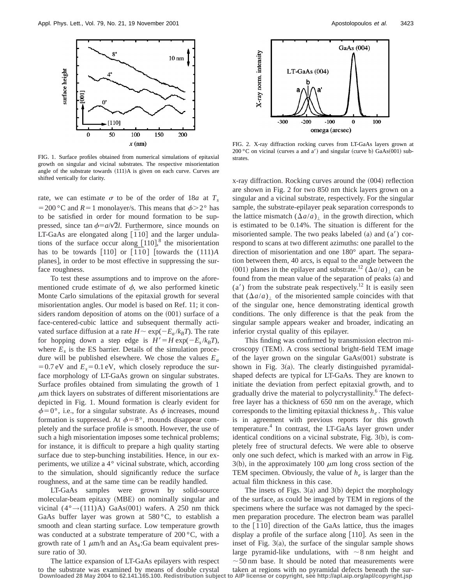

FIG. 1. Surface profiles obtained from numerical simulations of epitaxial growth on singular and vicinal substrates. The respective misorientation angle of the substrate towards  $(111)A$  is given on each curve. Curves are shifted vertically for clarity.

rate, we can estimate  $\sigma$  to be of the order of 18*a* at  $T_s$  $=$  200 °C and *R* = 1 monolayer/s. This means that  $\phi$  > 2° has to be satisfied in order for mound formation to be suppressed, since tan  $\phi=a/\sqrt{2}l$ . Furthermore, since mounds on LT-GaAs are elongated along  $\begin{bmatrix} 1 & 10 \\ 1 & 0 \end{bmatrix}$  and the larger undulations of the surface occur along  $[110]$ ,<sup>8</sup> the misorientation has to be towards  $[110]$  or  $[\overline{110}]$  [towards the  $(111)A$ planes], in order to be most effective in suppressing the surface roughness.

To test these assumptions and to improve on the aforementioned crude estimate of  $\phi$ , we also performed kinetic Monte Carlo simulations of the epitaxial growth for several misorientation angles. Our model is based on Ref. 11; it considers random deposition of atoms on the  $(001)$  surface of a face-centered-cubic lattice and subsequent thermally activated surface diffusion at a rate  $H \sim \exp(-E_a / k_B T)$ . The rate for hopping down a step edge is  $H' = H \exp(-E_s / k_B T)$ , where  $E<sub>s</sub>$  is the ES barrier. Details of the simulation procedure will be published elsewhere. We chose the values  $E_a$  $=0.7$  eV and  $E_s=0.1$  eV, which closely reproduce the surface morphology of LT-GaAs grown on singular substrates. Surface profiles obtained from simulating the growth of 1  $\mu$ m thick layers on substrates of different misorientations are depicted in Fig. 1. Mound formation is clearly evident for  $\phi$ =0°, i.e., for a singular substrate. As  $\phi$  increases, mound formation is suppressed. At  $\phi = 8^\circ$ , mounds disappear completely and the surface profile is smooth. However, the use of such a high misorientation imposes some technical problems; for instance, it is difficult to prepare a high quality starting surface due to step-bunching instabilities. Hence, in our experiments, we utilize a 4° vicinal substrate, which, according to the simulation, should significantly reduce the surface roughness, and at the same time can be readily handled.

LT-GaAs samples were grown by solid-source molecular-beam epitaxy (MBE) on nominally singular and vicinal  $(4^{\circ} \rightarrow (111)A)$  GaAs $(001)$  wafers. A 250 nm thick GaAs buffer layer was grown at  $580\,^{\circ}$ C, to establish a smooth and clean starting surface. Low temperature growth was conducted at a substrate temperature of 200 °C, with a growth rate of 1  $\mu$ m/h and an As<sub>4</sub>:Ga beam equivalent pressure ratio of 30.



FIG. 2. X-ray diffraction rocking curves from LT-GaAs layers grown at  $200 °C$  on vicinal (curves a and a') and singular (curve b) GaAs $(001)$  substrates.

 $x$ -ray diffraction. Rocking curves around the  $(004)$  reflection are shown in Fig. 2 for two 850 nm thick layers grown on a singular and a vicinal substrate, respectively. For the singular sample, the substrate-epilayer peak separation corresponds to the lattice mismatch  $(\Delta a/a)$  in the growth direction, which is estimated to be 0.14%. The situation is different for the misoriented sample. The two peaks labeled  $(a)$  and  $(a')$  correspond to scans at two different azimuths: one parallel to the direction of misorientation and one 180° apart. The separation between them, 40 arcs, is equal to the angle between the (001) planes in the epilayer and substrate.<sup>12</sup> ( $\Delta a/a$ ) can be found from the mean value of the separation of peaks (a) and  $(a')$  from the substrate peak respectively.<sup>12</sup> It is easily seen that  $(\Delta a/a)$  of the misoriented sample coincides with that of the singular one, hence demonstrating identical growth conditions. The only difference is that the peak from the singular sample appears weaker and broader, indicating an inferior crystal quality of this epilayer.

This finding was confirmed by transmission electron microscopy (TEM). A cross sectional bright-field TEM image of the layer grown on the singular  $GaAs(001)$  substrate is shown in Fig.  $3(a)$ . The clearly distinguished pyramidalshaped defects are typical for LT-GaAs. They are known to initiate the deviation from perfect epitaxial growth, and to gradually drive the material to polycrystallinity.<sup>6</sup> The defectfree layer has a thickness of 650 nm on the average, which corresponds to the limiting epitaxial thickness  $h_{\rho}$ . This value is in agreement with previous reports for this growth temperature. $4$  In contrast, the LT-GaAs layer grown under identical conditions on a vicinal substrate, Fig.  $3(b)$ , is completely free of structural defects. We were able to observe only one such defect, which is marked with an arrow in Fig.  $3(b)$ , in the approximately 100  $\mu$ m long cross section of the TEM specimen. Obviously, the value of  $h_e$  is larger than the actual film thickness in this case.

The insets of Figs.  $3(a)$  and  $3(b)$  depict the morphology of the surface, as could be imaged by TEM in regions of the specimens where the surface was not damaged by the specimen preparation procedure. The electron beam was parallel to the  $\left[\overline{1}10\right]$  direction of the GaAs lattice, thus the images display a profile of the surface along  $[110]$ . As seen in the inset of Fig.  $3(a)$ , the surface of the singular sample shows large pyramid-like undulations, with  $\sim 8$  nm height and  $\sim$  50 nm base. It should be noted that measurements were

The lattice expansion of LT-GaAs epilayers with respect to the substrate was examined by means of double crystal taken at regions with no pyramidal defects beneath the sur-**Downloaded 28 May 2004 to 62.141.165.100. Redistribution subject to AIP license or copyright, see http://apl.aip.org/apl/copyright.jsp**